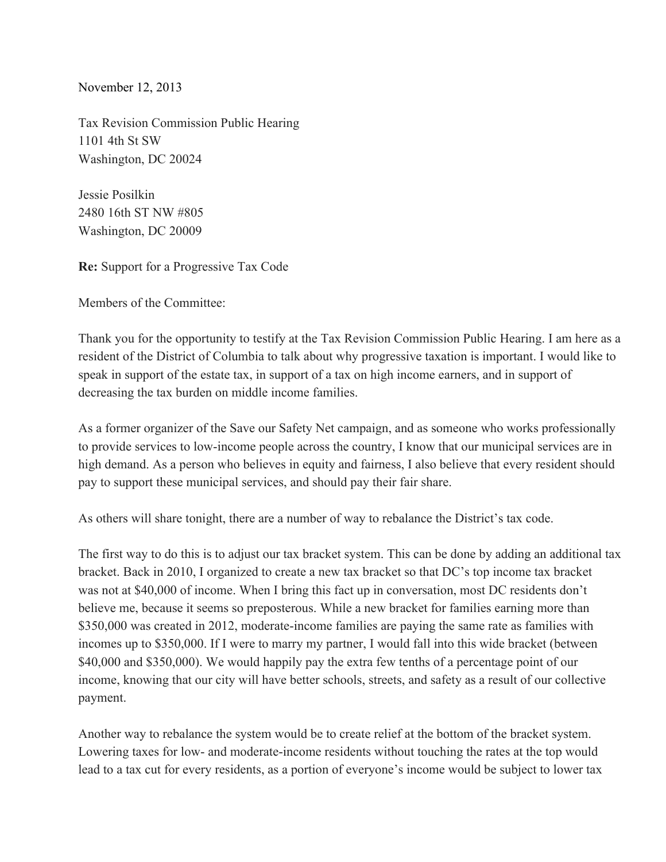November 12, 2013

Tax Revision Commission Public Hearing 1101 4th St SW Washington, DC 20024

Jessie Posilkin 2480 16th ST NW #805 Washington, DC 20009

**Re:** Support for a Progressive Tax Code

Members of the Committee:

Thank you for the opportunity to testify at the Tax Revision Commission Public Hearing. I am here as a resident of the District of Columbia to talk about why progressive taxation is important. I would like to speak in support of the estate tax, in support of a tax on high income earners, and in support of decreasing the tax burden on middle income families.

As a former organizer of the Save our Safety Net campaign, and as someone who works professionally to provide services to low-income people across the country, I know that our municipal services are in high demand. As a person who believes in equity and fairness, I also believe that every resident should pay to support these municipal services, and should pay their fair share.

As others will share tonight, there are a number of way to rebalance the District's tax code.

The first way to do this is to adjust our tax bracket system. This can be done by adding an additional tax bracket. Back in 2010, I organized to create a new tax bracket so that DC's top income tax bracket was not at \$40,000 of income. When I bring this fact up in conversation, most DC residents don't believe me, because it seems so preposterous. While a new bracket for families earning more than  $$350,000$  was created in 2012, moderate-income families are paying the same rate as families with incomes up to \$350,000. If I were to marry my partner, I would fall into this wide bracket (between \$40,000 and \$350,000). We would happily pay the extra few tenths of a percentage point of our income, knowing that our city will have better schools, streets, and safety as a result of our collective payment.

Another way to rebalance the system would be to create relief at the bottom of the bracket system. Lowering taxes for low- and moderate-income residents without touching the rates at the top would lead to a tax cut for every residents, as a portion of everyone's income would be subject to lower tax